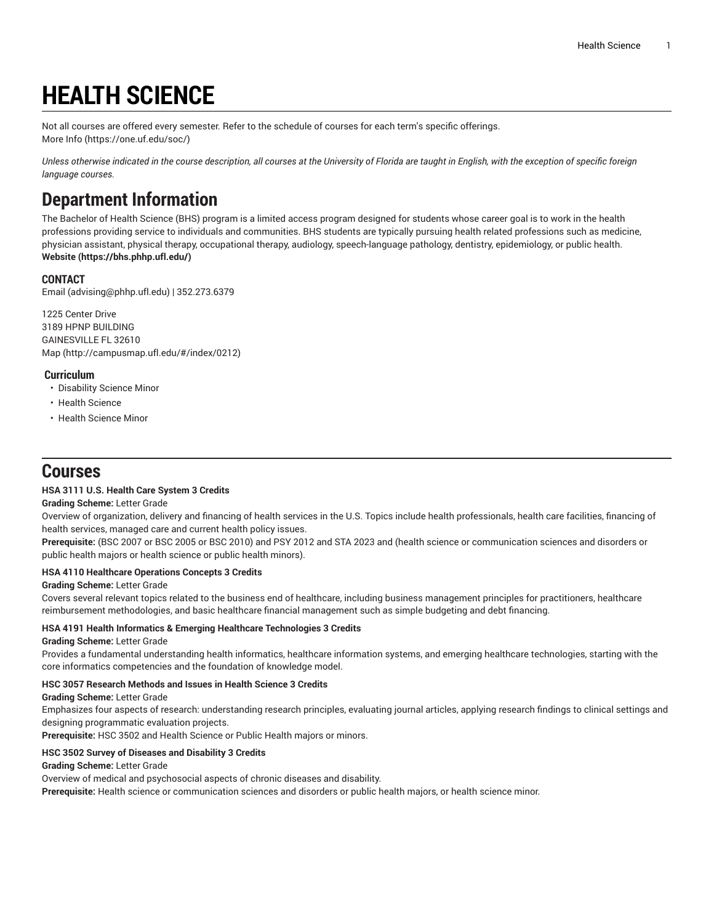# **HEALTH SCIENCE**

Not all courses are offered every semester. Refer to the schedule of courses for each term's specific offerings. [More](https://one.uf.edu/soc/) Info [\(https://one.uf.edu/soc/](https://one.uf.edu/soc/))

Unless otherwise indicated in the course description, all courses at the University of Florida are taught in English, with the exception of specific foreign *language courses.*

# **Department Information**

The Bachelor of Health Science (BHS) program is a limited access program designed for students whose career goal is to work in the health professions providing service to individuals and communities. BHS students are typically pursuing health related professions such as medicine, physician assistant, physical therapy, occupational therapy, audiology, speech-language pathology, dentistry, epidemiology, or public health. **[Website](https://bhs.phhp.ufl.edu/) (<https://bhs.phhp.ufl.edu/>)**

## **CONTACT**

[Email](mailto:advising@phhp.ufl.edu) (<advising@phhp.ufl.edu>) | 352.273.6379

1225 Center Drive 3189 HPNP BUILDING GAINESVILLE FL 32610 [Map](http://campusmap.ufl.edu/#/index/0212) ([http://campusmap.ufl.edu/#/index/0212\)](http://campusmap.ufl.edu/#/index/0212)

### **Curriculum**

- Disability Science Minor
- Health Science
- Health Science Minor

# **Courses**

#### **HSA 3111 U.S. Health Care System 3 Credits**

### **Grading Scheme:** Letter Grade

Overview of organization, delivery and financing of health services in the U.S. Topics include health professionals, health care facilities, financing of health services, managed care and current health policy issues.

**Prerequisite:** (BSC 2007 or BSC 2005 or BSC 2010) and PSY 2012 and STA 2023 and (health science or communication sciences and disorders or public health majors or health science or public health minors).

#### **HSA 4110 Healthcare Operations Concepts 3 Credits**

#### **Grading Scheme:** Letter Grade

Covers several relevant topics related to the business end of healthcare, including business management principles for practitioners, healthcare reimbursement methodologies, and basic healthcare financial management such as simple budgeting and debt financing.

#### **HSA 4191 Health Informatics & Emerging Healthcare Technologies 3 Credits**

#### **Grading Scheme:** Letter Grade

Provides a fundamental understanding health informatics, healthcare information systems, and emerging healthcare technologies, starting with the core informatics competencies and the foundation of knowledge model.

#### **HSC 3057 Research Methods and Issues in Health Science 3 Credits**

**Grading Scheme:** Letter Grade

Emphasizes four aspects of research: understanding research principles, evaluating journal articles, applying research findings to clinical settings and designing programmatic evaluation projects.

**Prerequisite:** HSC 3502 and Health Science or Public Health majors or minors.

#### **HSC 3502 Survey of Diseases and Disability 3 Credits**

#### **Grading Scheme:** Letter Grade

Overview of medical and psychosocial aspects of chronic diseases and disability.

**Prerequisite:** Health science or communication sciences and disorders or public health majors, or health science minor.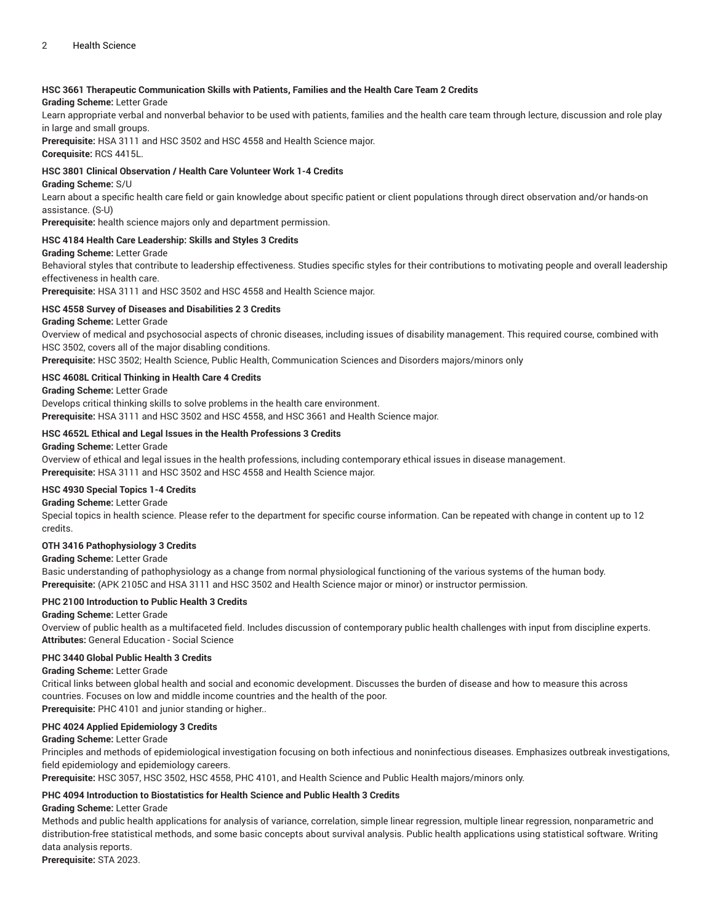#### **HSC 3661 Therapeutic Communication Skills with Patients, Families and the Health Care Team 2 Credits**

#### **Grading Scheme:** Letter Grade

Learn appropriate verbal and nonverbal behavior to be used with patients, families and the health care team through lecture, discussion and role play in large and small groups.

**Prerequisite:** HSA 3111 and HSC 3502 and HSC 4558 and Health Science major. **Corequisite:** RCS 4415L.

#### **HSC 3801 Clinical Observation / Health Care Volunteer Work 1-4 Credits**

#### **Grading Scheme:** S/U

Learn about a specific health care field or gain knowledge about specific patient or client populations through direct observation and/or hands-on assistance. (S-U)

**Prerequisite:** health science majors only and department permission.

#### **HSC 4184 Health Care Leadership: Skills and Styles 3 Credits**

#### **Grading Scheme:** Letter Grade

Behavioral styles that contribute to leadership effectiveness. Studies specific styles for their contributions to motivating people and overall leadership effectiveness in health care.

**Prerequisite:** HSA 3111 and HSC 3502 and HSC 4558 and Health Science major.

#### **HSC 4558 Survey of Diseases and Disabilities 2 3 Credits**

**Grading Scheme:** Letter Grade

Overview of medical and psychosocial aspects of chronic diseases, including issues of disability management. This required course, combined with HSC 3502, covers all of the major disabling conditions.

**Prerequisite:** HSC 3502; Health Science, Public Health, Communication Sciences and Disorders majors/minors only

#### **HSC 4608L Critical Thinking in Health Care 4 Credits**

**Grading Scheme:** Letter Grade

Develops critical thinking skills to solve problems in the health care environment.

**Prerequisite:** HSA 3111 and HSC 3502 and HSC 4558, and HSC 3661 and Health Science major.

#### **HSC 4652L Ethical and Legal Issues in the Health Professions 3 Credits**

#### **Grading Scheme:** Letter Grade

Overview of ethical and legal issues in the health professions, including contemporary ethical issues in disease management. **Prerequisite:** HSA 3111 and HSC 3502 and HSC 4558 and Health Science major.

#### **HSC 4930 Special Topics 1-4 Credits**

#### **Grading Scheme:** Letter Grade

Special topics in health science. Please refer to the department for specific course information. Can be repeated with change in content up to 12 credits.

#### **OTH 3416 Pathophysiology 3 Credits**

#### **Grading Scheme:** Letter Grade

Basic understanding of pathophysiology as a change from normal physiological functioning of the various systems of the human body. **Prerequisite:** (APK 2105C and HSA 3111 and HSC 3502 and Health Science major or minor) or instructor permission.

#### **PHC 2100 Introduction to Public Health 3 Credits**

#### **Grading Scheme:** Letter Grade

Overview of public health as a multifaceted field. Includes discussion of contemporary public health challenges with input from discipline experts. **Attributes:** General Education - Social Science

#### **PHC 3440 Global Public Health 3 Credits**

#### **Grading Scheme:** Letter Grade

Critical links between global health and social and economic development. Discusses the burden of disease and how to measure this across countries. Focuses on low and middle income countries and the health of the poor.

**Prerequisite:** PHC 4101 and junior standing or higher..

#### **PHC 4024 Applied Epidemiology 3 Credits**

#### **Grading Scheme:** Letter Grade

Principles and methods of epidemiological investigation focusing on both infectious and noninfectious diseases. Emphasizes outbreak investigations, field epidemiology and epidemiology careers.

**Prerequisite:** HSC 3057, HSC 3502, HSC 4558, PHC 4101, and Health Science and Public Health majors/minors only.

#### **PHC 4094 Introduction to Biostatistics for Health Science and Public Health 3 Credits**

#### **Grading Scheme:** Letter Grade

Methods and public health applications for analysis of variance, correlation, simple linear regression, multiple linear regression, nonparametric and distribution-free statistical methods, and some basic concepts about survival analysis. Public health applications using statistical software. Writing data analysis reports.

**Prerequisite:** STA 2023.